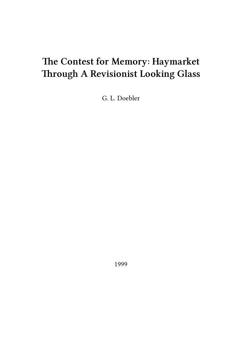# **The Contest for Memory: Haymarket Through A Revisionist Looking Glass**

G. L. Doebler

1999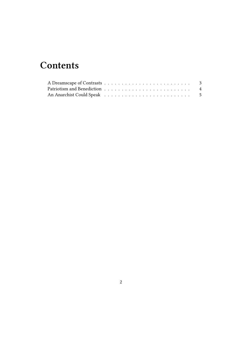## **Contents**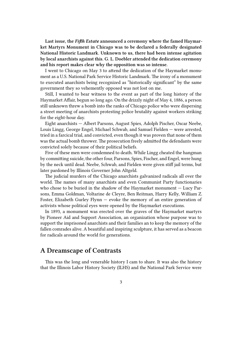**Last issue, the** *Fifth Estate* **announced a ceremony where the famed Haymarket Martyrs Monument in Chicago was to be declared a federally designated National Historic Landmark. Unknown to us, there had been intense agitation by local anarchists against this. G. L. Doebler attended the dedication ceremony and his report makes clear why the opposition was so intense.**

I went to Chicago on May 3 to attend the dedication of the Haymarket monument as a U.S. National Park Service Historic Landmark. The irony of a monument to executed anarchists being recognized as "historically significant" by the same government they so vehemently opposed was not lost on me.

Still, I wanted to bear witness to the event as part of the long history of the Haymarket Affair, begun so long ago. On the drizzly night of May 4, 1886, a person still unknown threw a bomb into the ranks of Chicago police who were dispersing a street meeting of anarchists protesting police brutality against workers striking for the eight-hour day.

Eight anarchists — Albert Parsons, August Spies, Adolph Pischer, Oscar Neebe, Louis Lingg, George Engel, Michael Schwab, and Samuel Fielden — were arrested, tried in a farcical trial, and convicted, even though it was proven that none of them was the actual bomb thrower. The prosecution freely admitted the defendants were convicted solely because of their political beliefs.

Five of these men were condemned to death. While Lingg cheated the hangman by committing suicide, the other four, Parsons, Spies, Fischer, and Engel, were hung by the neck until dead. Neebe, Schwab, and Fielden were given stiff jail terms, but later pardoned by Illinois Governer John Altgeld.

The judicial murders of the Chicago anarchists galvanized radicals all over the world. The names of many anarchists and even Communist Party functionaries who chose to be buried in the shadow of the Haymarket monument — Lucy Parsons, Emma Goldman, Voltarine de Cleyre, Ben Reitman, Harry Kelly, William Z. Foster, Elizabeth Gurley Flynn — evoke the memory of an entire generation of activists whose political eyes were opened by the Haymarket executions.

In 1893, a monument was erected over the graves of the Haymarket martyrs by Pioneer Aid and Support Association, an organization whose purpose was to support the imprisoned anarchists and their families an to keep the memory of the fallen comrades alive. A beautiful and inspiring sculpture, it has served as a beacon for radicals around the world for generations.

### **A Dreamscape of Contrasts**

This was the long and venerable history I cam to share. It was also the history that the Illinois Labor History Society (ILHS) and the National Park Service were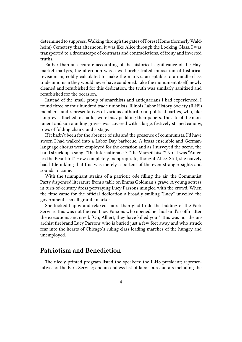determined to suppress. Walking through the gates of Forest Home (formerly Waldheim) Cemetery that afternoon, it was like Alice through the Looking Glass. I was transported to a dreamscape of contrasts and contradictions, of irony and inverted truths.

Rather than an accurate accounting of the historical significance of the Haymarket martyrs, the afternoon was a well-orchestrated imposition of historical revisionism, coldly calculated to make the martyrs acceptable to a middle-class trade unionism they would never have condoned. Like the monument itself, newly cleaned and refurbished for this dedication, the truth was similarly sanitized and refurbished for the occasion.

Instead of the small group of anarchists and antiquarians I had experienced, I found three or four hundred trade unionists, Illinois Labor History Society (ILHS) members, and representatives of various authoritarian political parties, who, like lampreys attached to sharks, were busy peddling their papers. The site of the monument and surrounding graves was covered with a large, festively striped canopy, rows of folding chairs, and a stage.

If it hadn't been for the absence of ribs and the presence of communists, I'd have sworn I had walked into a Labor Day barbecue. A brass ensemble and Germanlanguage chorus were employed for the occasion and as I surveyed the scene, the band struck up a song. "The Internationale"? "The Marseillaise"? No. It was "America the Beautiful." How completely inappropriate, thought Alice. Still, she naively had little inkling that this was merely a portent of the even stranger sights and sounds to come.

With the triumphant strains of a patriotic ode filling the air, the Communist Party dispensed literature from a table on Emma Goldman's grave. A young actress in turn-of-century dress portraying Lucy Parsons mingled with the crowd. When the time came for the official dedication a broadly smiling "Lucy" unveiled the government's small granite marker.

She looked happy and relaxed, more than glad to do the bidding of the Park Service. This was not the real Lucy Parsons who opened her husband's coffin after the executions and cried, "Oh, Albert, they have killed you!" This was not the anarchist firebrand Lucy Parsons who is buried just a few feet away and who struck fear into the hearts of Chicago's ruling class leading marches of the hungry and unemployed.

#### **Patriotism and Benediction**

The nicely printed program listed the speakers; the ILHS president; representatives of the Park Service; and an endless list of labor bureaucrats including the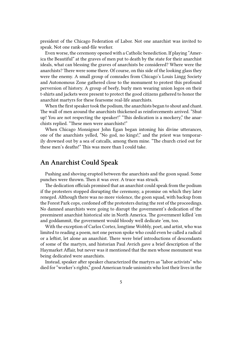president of the Chicago Federation of Labor. Not one anarchist was invited to speak. Not one rank-and-file worker.

Even worse, the ceremony opened with a Catholic benediction. If playing "America the Beautiful" at the graves of men put to death by the state for their anarchist ideals, what can blessing the graves of anarchists be considered? Where were the anarchists? There were some there. Of course, on this side of the looking glass they were the enemy. A small group of comrades from Chicago's Louis Lingg Society and Autonomous Zone gathered close to the monument to protest this profound perversion of history. A group of beefy, burly men wearing union logos on their t-shirts and jackets were present to protect the good citizens gathered to honor the anarchist martyrs for these fearsome real-life anarchists.

When the first speaker took the podium, the anarchists began to shout and chant. The wall of men around the anarchists thickened as reinforcements arrived. "Shut up! You are not respecting the speaker!" "This dedication is a mockery," the anarchists replied. "These men were anarchists!"

When Chicago Monsignor John Egan began intoning his divine utterances, one of the anarchists yelled, "No god, no kings!," and the priest was temporarily drowned out by a sea of catcalls, among them mine. "The church cried out for these men's deaths!" This was more than I could take.

#### **An Anarchist Could Speak**

Pushing and shoving erupted between the anarchists and the goon squad. Some punches were thrown. Then it was over. A truce was struck.

The dedication officials promised that an anarchist could speak from the podium if the protesters stopped disrupting the ceremony, a promise on which they later reneged. Although there was no more violence, the goon squad, with backup from the Forest Park cops, cordoned off the protesters during the rest of the proceedings. No damned anarchists were going to disrupt the government's dedication of the preeminent anarchist historical site in North America. The government killed 'em and goddammit, the government would bloody well dedicate 'em, too.

With the exception of Carlos Cortez, longtime Wobbly, poet, and artist, who was limited to reading a poem, not one person spoke who could even be called a radical or a leftist, let alone an anarchist. There were brief introductions of descendants of some of the martyrs, and historian Paul Avrich gave a brief description of the Haymarket Affair, but never was it mentioned that the men whose monument was being dedicated were anarchists.

Instead, speaker after speaker characterized the martyrs as "labor activists" who died for "worker's rights," good American trade unionists who lost their lives in the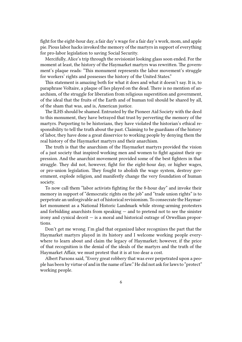fight for the eight-hour day, a fair day's wage for a fair day's work, mom, and apple pie. Pious labor hacks invoked the memory of the martyrs in support of everything for pro-labor legislation to saving Social Security.

Mercifully, Alice's trip through the revisionist looking glass soon ended. For the moment at least, the history of the Haymarket martyrs was rewritten. The government's plaque reads: "This monument represents the labor movement's struggle for workers' rights and possesses the history of the United States."

This statement is amazing both for what it does and what it doesn't say. It is, to paraphrase Voltaire, a plaque of lies played on the dead. There is no mention of anarchism, of the struggle for liberation from religious superstition and government, of the ideal that the fruits of the Earth and of human toil should be shared by all, of the sham that was, and is, American justice.

The ILHS should be shamed. Entrusted by the Pioneer Aid Society with the deed to this monument, they have betrayed that trust by perverting the memory of the martyrs. Purporting to be historians, they have violated the historian's ethical responsibility to tell the truth about the past. Claiming to be guardians of the history of labor, they have done a great disservice to working people by denying them the real history of the Haymarket martyrs and their anarchism.

The truth is that the anarchism of the Haymarket martyrs provided the vision of a just society that inspired working men and women to fight against their oppression. And the anarchist movement provided some of the best fighters in that struggle. They did not, however, fight for the eight-hour day, or higher wages, or pro-union legislation. They fought to abolish the wage system, destroy government, explode religion, and manifestly change the very foundation of human society.

To now call them "labor activists fighting for the 8-hour day" and invoke their memory in support of "democratic rights on the job" and "trade union rights" is to perpetrate an unforgivable act of historical revisionism. To consecrate the Haymarket monument as a National Historic Landmark while strong-arming protesters and forbidding anarchists from speaking  $-$  and to pretend not to see the sinister irony and cynical deceit — is a moral and historical outrage of Orwellian proportions.

Don't get me wrong. I'm glad that organized labor recognizes the part that the Haymarket martyrs played in its history and I welcome working people everywhere to learn about and claim the legacy of Haymarket; however, if the price of that recognition is the denial of the ideals of the martyrs and the truth of the Haymarket Affair, we must protest that it is at too dear a cost.

Albert Parsons said, "Every great robbery that was ever perpetrated upon a people has been by virtue of and in the name of law." He did not ask for laws to "protect" working people.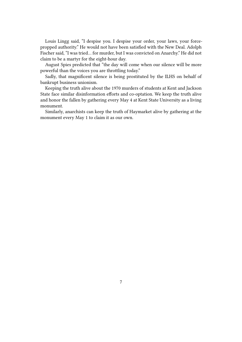Louis Lingg said, "I despise you. I despise your order, your laws, your forcepropped authority." He would not have been satisfied with the New Deal. Adolph Fischer said, "I was tried… for murder, but I was convicted on Anarchy." He did not claim to be a martyr for the eight-hour day.

August Spies predicted that "the day will come when our silence will be more powerful than the voices you are throttling today."

Sadly, that magnificent silence is being prostituted by the ILHS on behalf of bankrupt business unionism.

Keeping the truth alive about the 1970 murders of students at Kent and Jackson State face similar disinformation efforts and co-optation. We keep the truth alive and honor the fallen by gathering every May 4 at Kent State University as a living monument.

Similarly, anarchists can keep the truth of Haymarket alive by gathering at the monument every May 1 to claim it as our own.